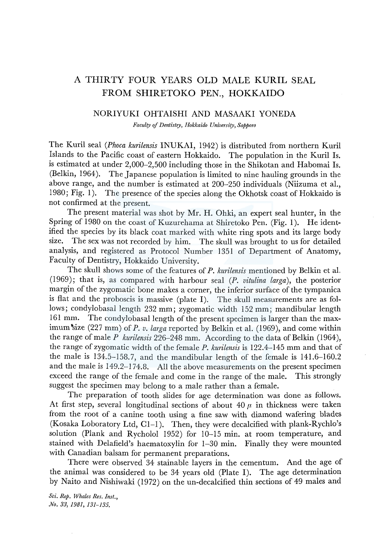# A THIRTY FOUR YEARS OLD MALE KURIL SEAL FROM SHIRETOKO PEN., HOKKAIDO

### NORIYUKI OHTAISHI AND MASAAKI YONEDA

*Faculty* ef *Dentistry, Hokkaido University, Sapporo* 

The Kuril seal *(Phoca kurilensis* INUKAI, 1942) is distributed from northern Kuril Islands to the Pacific coast of eastern Hokkaido. The population in the Kuril Is. is estimated at under 2,000-2,500 including those in the Shikotan and Habomai Is. (Belkin, 1964). The Japanese population is limited to nine hauling grounds in the above range, and the number is estimated at 200-250 individuals (Niizuma et al., 1980; Fig. 1). The presence of the species along the Okhotsk coast of Hokkaido is not confirmed at the present.

The present material was shot by Mr. H. Ohki, an expert seal hunter, in the Spring of 1980 on the coast of Kuzurehama at Shiretoko Pen. (Fig. 1). He identified the species by its black coat marked with white ring spots and its large body size. The sex was not recorded by him. The skull was brought to us for detailed analysis, and registered as Protocol Number 1351 of Department of Anatomy, Faculty of Dentistry, Hokkaido University.

The skull shows some of the features of *P. kurilensis* mentioned by Belkin et aL (1969); that is, as compared with harbour seal (P. *vitulina larga),* the posterior margin of the zygomatic bone makes a corner, the inferior surface of the tympanica is flat and the proboscis is massive (plate I). The skull measurements are as follows; condylobasal length 232 mm; zygomatic width 152 mm; mandibular length 161 mm. The condylobasal length of the present specimen is larger than the maximum size (227 mm) of *P. v. larga* reported by Belkin et al. (1969), and come within the range of male *P kurilensis* 226-248 mm. According to the data of Belkin (1964), the range of zygomatic width of the female *P. kurilensis* is 122.4-145 mm and that of the male is 134.5-158.7, and the mandibular length of the female is 141.6-160.2 and the male is 149.2-174.8. All the above measurements on the present specimen exceed the range of the female and come in the range of the male. This strongly suggest the specimen may belong to a male rather than a female.

The preparation of tooth slides for age determination was done as follows. At first step, several longitudinal sections of about  $40 \mu$  in thickness were taken from the root of a canine tooth using a fine saw with diamond wafering blades (Kosaka Loboratory Ltd, Cl-1). Then, they were decalcified with plank-Rychlo's solution (Plank and Rycholol 1952) for 10-15 min. at room temperature, and stained with Delafield's haematoxylin for 1-30 min. Finally they were mounted with Canadian balsam for permanent preparations.

There were observed 34 stainable layers in the cementum. And the age of the animal was considered to be 34 years old (Plate I). The age determination by Naito and Nishiwaki (1972) on the un-decalcified thin sections of 49 males and

*Sci. Rep. Whales Res. Inst., No. 33, 1981, 131-135.*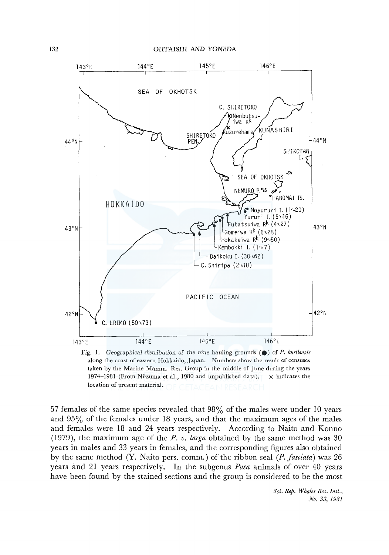

Fig. 1. Geographical distribution of the *nine* hauling grounds ( •) of P. *kurilensis*  along the coast of eastern Hokkaido, Japan. Numbers show the result of censuses taken by the Marine Mamm. Res. Group in the middle of June during the years 1974-1981 (From Niizuma et al., 1980 and unpublished data).  $\times$  indicates the location of present material.

57 females of the same species revealed that 98% of the males were under 10 years and  $95\%$  of the females under 18 years, and that the maximum ages of the males and females were 18 and 24 years respectively. According to Naito and Konno (1979), the maximum age of the *P. v. larga* obtained by the same method was 30 years in males and 33 years in females, and the corresponding figures also obtained by the same method (Y. Naito pers. comm.) of the ribbon seal *(P.fasciata)* was 26 years and 21 years respectively. In the subgenus *Pusa* animals of over 40 years have been found by the stained sections and the group is considered to be the most

> *Sci. Rep. Whales Res. Inst., No. 33, 1981*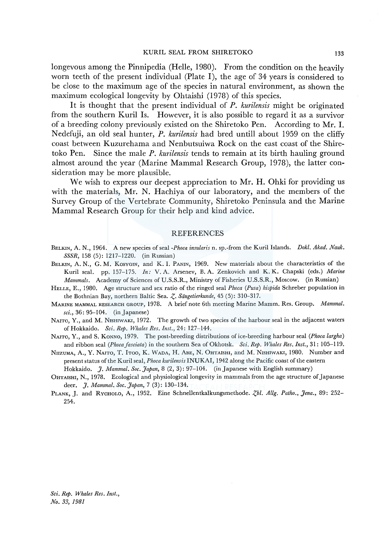longevous among the Pinnipedia (Helle, 1980). From the condition on the heavily worn teeth of the present individual (Plate I), the age of 34 years is considered to be close to the maximum age of the species in natural environment, as shown the maximum ecological longevity by Ohtaishi (1978) of this species.

It is thought that the present individual of *P. kurilensis* might be originated from the southern Kuril Is. However, it is also possible to regard it as a survivor of a breeding colony previously existed on the Shiretoko Pen. According to Mr. I. Nedefuji, an old seal hunter, *P. kurilensis* had bred untill about 1959 on the cliffy coast between Kuzurehama and Nenbutsuiwa Rock on the east coast of the Shiretoko Pen. Since the male *P. kurilensis* tends to remain at its birth hauling ground almost around the year (Marine Mammal Research Group, 1978), the latter consideration may be more plausible.

We wish to express our deepest appreciation to Mr. H. Ohki for providing us with the materials, Mr. N. Hachiya of our laboratory, and the members of the Survey Group of the Vertebrate Community, Shiretoko Peninsula and the Marine Mammal Research Group for their help and kind advice.

#### REFERENCES

- BELKIN, A. N., 1964. A new species of seal *-Phoca insularis* n. sp.-from the Kuril Islands. *Dokl. Akad. Nauk. SSSR,* 158 (5): 1217-1220. (in Russian)
- BELKIN, A. N., G. M. KOSYGIN, and K. I. PANIN, 1969. New materials about the characteristics of the Kuril seal. pp. 157-175. *In:* V. A. Arsenev, B. A. Zenkovich and K. K. Chapski (eds.) *Marine Mammals.* Academy of Sciences of U.S.S.R., Ministry of Fisheries U.S.S.R., Moscow. (in Russian)
- HELLE, E., 1980. Age structure and sex ratio of the ringed seal *Phoca (Pusa) hispida* Schreber population in the Bothnian Bay, northern Baltic Sea.  $\zeta$ . Säugetierkunde, 45 (5): 310-317.
- MARINE MAMMAL RESEARCH GROUP, 1978. A brief note 6th meeting Marine Mamm. Res. Group. *Mammal. sci.,* 36: 95-104. (in Japanese)
- NAITO, Y., and M. NISHIWAKI, 1972. The growth of two species of the harbour seal in the adjacent waters of Hokkaido. *Sci. Rep. Whales Res. Inst.,* 24: 127-144.
- NAITO, Y., and S. KONNO, 1979. The post-breeding distributions of ice-breeding harbour seal *(Phoca largha)*  and ribbon seal *(Phocafasciata)* in the southern Sea of Okhotsk. *Sci. Rep. Whales Res. Inst.,* 31: 105-119.
- NnzuMA, A., Y. NAITO, T. !Too, K. WADA, H. ABE, N. 0HTAISHI, and M. NISHIWAKI, 1980. Number and present status of the Kuril seal, *Phoca kurilensis* INUKAI, 1942 along the Pacific coast of the eastern Hokkaido. *J. Mammal. Soc. Japan,* 8 (2, 3): 97-104. (in Japanese with English summary)
- 0HTAISHI, N., 1978. Ecological and physiological longevity in mammals from the age structure of Japanese deer. *J. Mammal. Soc. Japan,* 7 (3): 130-134.
- PLANK, J. and RYCHOLO, A., 1952. Eine Schnellentkalkungsmethode. Zbl. Allg. Patho., Jena., 89: 252-254.

*Sci. Rep. Whales Res. Inst., No. 33, 1981*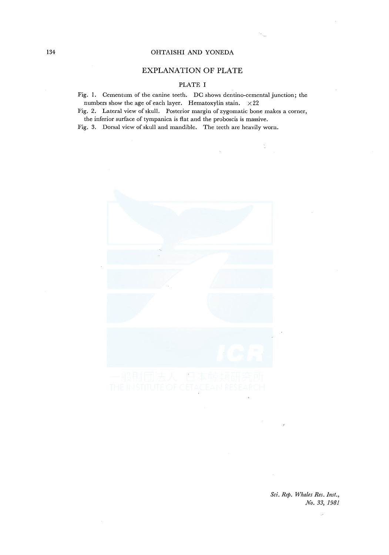#### 134 OHTAISHI AND YONEDA

## EXPLANATION OF PLATE

## PLATE I

Fig. l. Cementum of the canine teeth. DC shows dentino-cemental junction; the numbers show the age of each layer. Hematoxylin stain.  $\times 22$ 

Fig. 2. Lateral view of skull. Posterior margin of zygomatic bone makes a corner, the inferior surface of tympanica is flat and the proboscis is massive.

Fig. 3. Dorsal view of skull and mandible. The teeth are heavily worn.



*Sci. Rep. Whales Res. Inst., No. 33, 1981*